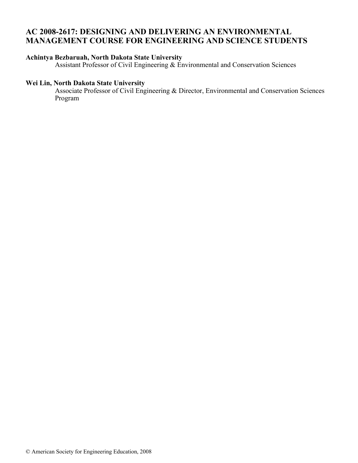# **AC 2008-2617: DESIGNING AND DELIVERING AN ENVIRONMENTAL MANAGEMENT COURSE FOR ENGINEERING AND SCIENCE STUDENTS**

# **Achintya Bezbaruah, North Dakota State University**

Assistant Professor of Civil Engineering & Environmental and Conservation Sciences

### **Wei Lin, North Dakota State University**

Associate Professor of Civil Engineering & Director, Environmental and Conservation Sciences Program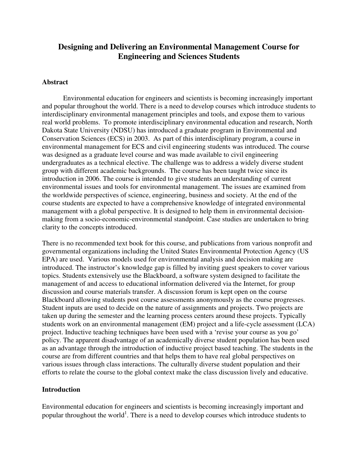# **Designing and Delivering an Environmental Management Course for Engineering and Sciences Students**

#### **Abstract**

Environmental education for engineers and scientists is becoming increasingly important and popular throughout the world. There is a need to develop courses which introduce students to interdisciplinary environmental management principles and tools, and expose them to various real world problems. To promote interdisciplinary environmental education and research, North Dakota State University (NDSU) has introduced a graduate program in Environmental and Conservation Sciences (ECS) in 2003. As part of this interdisciplinary program, a course in environmental management for ECS and civil engineering students was introduced. The course was designed as a graduate level course and was made available to civil engineering undergraduates as a technical elective. The challenge was to address a widely diverse student group with different academic backgrounds. The course has been taught twice since its introduction in 2006. The course is intended to give students an understanding of current environmental issues and tools for environmental management. The issues are examined from the worldwide perspectives of science, engineering, business and society. At the end of the course students are expected to have a comprehensive knowledge of integrated environmental management with a global perspective. It is designed to help them in environmental decisionmaking from a socio-economic-environmental standpoint. Case studies are undertaken to bring clarity to the concepts introduced.

There is no recommended text book for this course, and publications from various nonprofit and governmental organizations including the United States Environmental Protection Agency (US EPA) are used. Various models used for environmental analysis and decision making are introduced. The instructor's knowledge gap is filled by inviting guest speakers to cover various topics. Students extensively use the Blackboard, a software system designed to facilitate the management of and access to educational information delivered via the Internet, for group discussion and course materials transfer. A discussion forum is kept open on the course Blackboard allowing students post course assessments anonymously as the course progresses. Student inputs are used to decide on the nature of assignments and projects. Two projects are taken up during the semester and the learning process centers around these projects. Typically students work on an environmental management (EM) project and a life-cycle assessment (LCA) project. Inductive teaching techniques have been used with a 'revise your course as you go' policy. The apparent disadvantage of an academically diverse student population has been used as an advantage through the introduction of inductive project based teaching. The students in the course are from different countries and that helps them to have real global perspectives on various issues through class interactions. The culturally diverse student population and their efforts to relate the course to the global context make the class discussion lively and educative.

#### **Introduction**

Environmental education for engineers and scientists is becoming increasingly important and popular throughout the world<sup>1</sup>. There is a need to develop courses which introduce students to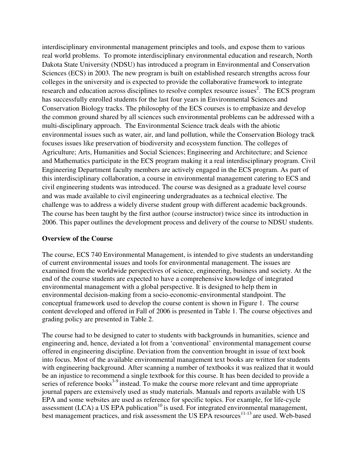interdisciplinary environmental management principles and tools, and expose them to various real world problems. To promote interdisciplinary environmental education and research, North Dakota State University (NDSU) has introduced a program in Environmental and Conservation Sciences (ECS) in 2003. The new program is built on established research strengths across four colleges in the university and is expected to provide the collaborative framework to integrate research and education across disciplines to resolve complex resource issues<sup>2</sup>. The ECS program has successfully enrolled students for the last four years in Environmental Sciences and Conservation Biology tracks. The philosophy of the ECS courses is to emphasize and develop the common ground shared by all sciences such environmental problems can be addressed with a multi-disciplinary approach. The Environmental Science track deals with the abiotic environmental issues such as water, air, and land pollution, while the Conservation Biology track focuses issues like preservation of biodiversity and ecosystem function. The colleges of Agriculture; Arts, Humanities and Social Sciences; Engineering and Architecture; and Science and Mathematics participate in the ECS program making it a real interdisciplinary program. Civil Engineering Department faculty members are actively engaged in the ECS program. As part of this interdisciplinary collaboration, a course in environmental management catering to ECS and civil engineering students was introduced. The course was designed as a graduate level course and was made available to civil engineering undergraduates as a technical elective. The challenge was to address a widely diverse student group with different academic backgrounds. The course has been taught by the first author (course instructor) twice since its introduction in 2006. This paper outlines the development process and delivery of the course to NDSU students.

#### **Overview of the Course**

The course, ECS 740 Environmental Management, is intended to give students an understanding of current environmental issues and tools for environmental management. The issues are examined from the worldwide perspectives of science, engineering, business and society. At the end of the course students are expected to have a comprehensive knowledge of integrated environmental management with a global perspective. It is designed to help them in environmental decision-making from a socio-economic-environmental standpoint. The conceptual framework used to develop the course content is shown in Figure 1. The course content developed and offered in Fall of 2006 is presented in Table 1. The course objectives and grading policy are presented in Table 2.

The course had to be designed to cater to students with backgrounds in humanities, science and engineering and, hence, deviated a lot from a 'conventional' environmental management course offered in engineering discipline. Deviation from the convention brought in issue of text book into focus. Most of the available environmental management text books are written for students with engineering background. After scanning a number of textbooks it was realized that it would be an injustice to recommend a single textbook for this course. It has been decided to provide a series of reference books<sup>3-9</sup> instead. To make the course more relevant and time appropriate journal papers are extensively used as study materials. Manuals and reports available with US EPA and some websites are used as reference for specific topics. For example, for life-cycle assessment (LCA) a US EPA publication<sup>10</sup> is used. For integrated environmental management, best management practices, and risk assessment the US EPA resources<sup>11-13</sup> are used. Web-based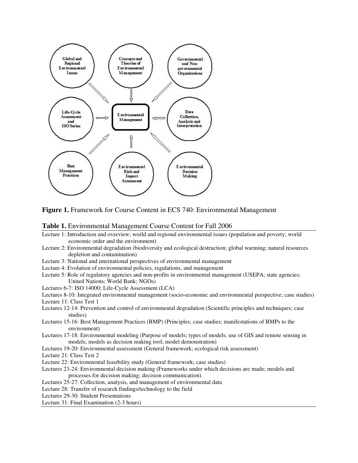

**Figure 1.** Framework for Course Content in ECS 740: Environmental Management

#### **Table 1.** Environmental Management Course Content for Fall 2006

- Lecture 1: Introduction and overview; world and regional environmental issues (population and poverty; world economic order and the environment)
- Lecture 2: Environmental degradation (biodiversity and ecological destruction; global warming; natural resources depletion and contamination)
- Lecture 3: National and international perspectives of environmental management
- Lecture 4: Evolution of environmental policies, regulations, and management
- Lecture 5: Role of regulatory agencies and non-profits in environmental management (USEPA; state agencies; United Nations; World Bank; NGOs)
- Lectures 6-7: ISO 14000; Life-Cycle Assessment (LCA)
- Lectures 8-10: Integrated environmental management (socio-economic and environmental perspective; case studies) Lecture 11: Class Test 1
- Lectures 12-14: Prevention and control of environmental degradation (Scientific principles and techniques; case studies)
- Lectures 15-16: Best Management Practices (BMP) (Principles; case studies; manifestations of BMPs to the environment)
- Lectures 17-18: Environmental modeling (Purpose of models; types of models; use of GIS and remote sensing in models; models as decision making tool; model demonstration)
- Lectures 19-20: Environmental assessment (General framework; ecological risk assessment)

Lecture 21: Class Test 2

- Lecture 22: Environmental feasibility study (General framework; case studies)
- Lectures 23-24: Environmental decision making (Frameworks under which decisions are made; models and processes for decision making; decision communication)
- Lectures 25-27: Collection, analysis, and management of environmental data
- Lecture 28: Transfer of research findings/technology to the field
- Lectures 29-30: Student Presentations

Lecture 31: Final Examination (2-3 hours)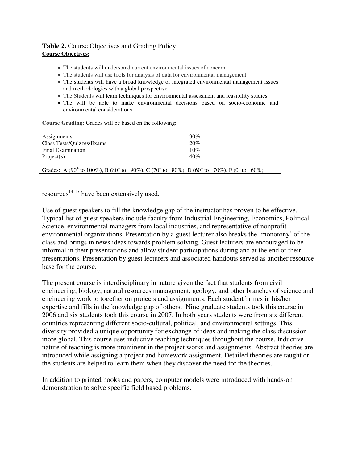# **Table 2.** Course Objectives and Grading Policy

### **Course Objectives:**

- The students will understand current environmental issues of concern
- The students will use tools for analysis of data for environmental management
- The students will have a broad knowledge of integrated environmental management issues and methodologies with a global perspective
- The Students will learn techniques for environmental assessment and feasibility studies
- The will be able to make environmental decisions based on socio-economic and environmental considerations

**Course Grading:** Grades will be based on the following:

| Assignments                                                                                                                           | 30% |  |
|---------------------------------------------------------------------------------------------------------------------------------------|-----|--|
| Class Tests/Quizzes/Exams                                                                                                             | 20% |  |
| Final Examination                                                                                                                     | 10% |  |
| Project(s)                                                                                                                            | 40% |  |
| Grades: A (90 <sup>+</sup> to 100%), B (80 <sup>+</sup> to 90%), C (70 <sup>+</sup> to 80%), D (60 <sup>+</sup> to 70%), F (0 to 60%) |     |  |

resources<sup>14-17</sup> have been extensively used.

Use of guest speakers to fill the knowledge gap of the instructor has proven to be effective. Typical list of guest speakers include faculty from Industrial Engineering, Economics, Political Science, environmental managers from local industries, and representative of nonprofit environmental organizations. Presentation by a guest lecturer also breaks the 'monotony' of the class and brings in news ideas towards problem solving. Guest lecturers are encouraged to be informal in their presentations and allow student participations during and at the end of their presentations. Presentation by guest lecturers and associated handouts served as another resource base for the course.

The present course is interdisciplinary in nature given the fact that students from civil engineering, biology, natural resources management, geology, and other branches of science and engineering work to together on projects and assignments. Each student brings in his/her expertise and fills in the knowledge gap of others. Nine graduate students took this course in 2006 and six students took this course in 2007. In both years students were from six different countries representing different socio-cultural, political, and environmental settings. This diversity provided a unique opportunity for exchange of ideas and making the class discussion more global. This course uses inductive teaching techniques throughout the course. Inductive nature of teaching is more prominent in the project works and assignments. Abstract theories are introduced while assigning a project and homework assignment. Detailed theories are taught or the students are helped to learn them when they discover the need for the theories.

In addition to printed books and papers, computer models were introduced with hands-on demonstration to solve specific field based problems.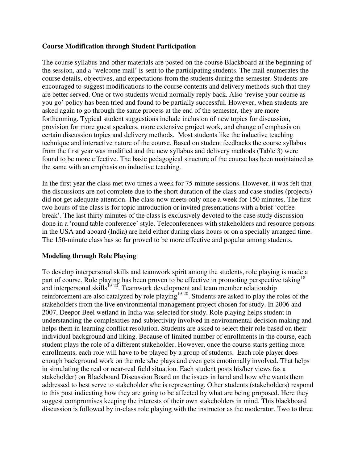### **Course Modification through Student Participation**

The course syllabus and other materials are posted on the course Blackboard at the beginning of the session, and a 'welcome mail' is sent to the participating students. The mail enumerates the course details, objectives, and expectations from the students during the semester. Students are encouraged to suggest modifications to the course contents and delivery methods such that they are better served. One or two students would normally reply back. Also 'revise your course as you go' policy has been tried and found to be partially successful. However, when students are asked again to go through the same process at the end of the semester, they are more forthcoming. Typical student suggestions include inclusion of new topics for discussion, provision for more guest speakers, more extensive project work, and change of emphasis on certain discussion topics and delivery methods. Most students like the inductive teaching technique and interactive nature of the course. Based on student feedbacks the course syllabus from the first year was modified and the new syllabus and delivery methods (Table 3) were found to be more effective. The basic pedagogical structure of the course has been maintained as the same with an emphasis on inductive teaching.

In the first year the class met two times a week for 75-minute sessions. However, it was felt that the discussions are not complete due to the short duration of the class and case studies (projects) did not get adequate attention. The class now meets only once a week for 150 minutes. The first two hours of the class is for topic introduction or invited presentations with a brief 'coffee break'. The last thirty minutes of the class is exclusively devoted to the case study discussion done in a 'round table conference' style. Teleconferences with stakeholders and resource persons in the USA and aboard (India) are held either during class hours or on a specially arranged time. The 150-minute class has so far proved to be more effective and popular among students.

#### **Modeling through Role Playing**

To develop interpersonal skills and teamwork spirit among the students, role playing is made a part of course. Role playing has been proven to be effective in promoting perspective taking<sup>18</sup> and interpersonal skills<sup>19-20</sup>. Teamwork development and team member relationship reinforcement are also catalyzed by role playing $19-20$ . Students are asked to play the roles of the stakeholders from the live environmental management project chosen for study. In 2006 and 2007, Deepor Beel wetland in India was selected for study. Role playing helps student in understanding the complexities and subjectivity involved in environmental decision making and helps them in learning conflict resolution. Students are asked to select their role based on their individual background and liking. Because of limited number of enrollments in the course, each student plays the role of a different stakeholder. However, once the course starts getting more enrollments, each role will have to be played by a group of students. Each role player does enough background work on the role s/he plays and even gets emotionally involved. That helps in simulating the real or near-real field situation. Each student posts his/her views (as a stakeholder) on Blackboard Discussion Board on the issues in hand and how s/he wants them addressed to best serve to stakeholder s/he is representing. Other students (stakeholders) respond to this post indicating how they are going to be affected by what are being proposed. Here they suggest compromises keeping the interests of their own stakeholders in mind. This blackboard discussion is followed by in-class role playing with the instructor as the moderator. Two to three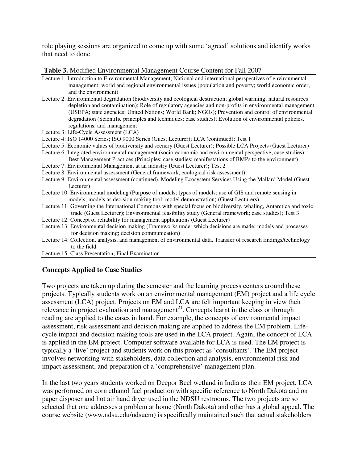role playing sessions are organized to come up with some 'agreed' solutions and identify works that need to done.

#### **Table 3.** Modified Environmental Management Course Content for Fall 2007

- Lecture 1: Introduction to Environmental Management; National and international perspectives of environmental management; world and regional environmental issues (population and poverty; world economic order, and the environment)
- Lecture 2: Environmental degradation (biodiversity and ecological destruction; global warming; natural resources depletion and contamination); Role of regulatory agencies and non-profits in environmental management (USEPA; state agencies; United Nations; World Bank; NGOs); Prevention and control of environmental degradation (Scientific principles and techniques; case studies); Evolution of environmental policies, regulations, and management
- Lecture 3: Life-Cycle Assessment (LCA)
- Lecture 4: ISO 14000 Series; ISO 9000 Series (Guest Lecturer); LCA (continued); Test 1
- Lecture 5: Economic values of biodiversity and scenery (Guest Lecturer); Possible LCA Projects (Guest Lecturer)
- Lecture 6: Integrated environmental management (socio-economic and environmental perspective; case studies); Best Management Practices (Principles; case studies; manifestations of BMPs to the environment)
- Lecture 7: Environmental Management at an industry **(**Guest Lecturer)**;** Test 2
- Lecture 8: Environmental assessment (General framework; ecological risk assessment)
- Lecture 9: Environmental assessment (continued). Modeling Ecosystem Services Using the Mallard Model (Guest Lecturer)
- Lecture 10: Environmental modeling (Purpose of models; types of models; use of GIS and remote sensing in models; models as decision making tool; model demonstration) (Guest Lecturers)
- Lecture 11: Governing the International Commons with special focus on biodiversity, whaling, Antarctica and toxic trade (Guest Lecturer); Environmental feasibility study (General framework; case studies); Test 3
- Lecture 12: Concept of reliability for management applications (Guest Lecturer)
- Lecture 13: Environmental decision making (Frameworks under which decisions are made; models and processes for decision making; decision communication)
- Lecture 14: Collection, analysis, and management of environmental data. Transfer of research findings/technology to the field
- Lecture 15: Class Presentation; Final Examination

## **Concepts Applied to Case Studies**

Two projects are taken up during the semester and the learning process centers around these projects. Typically students work on an environmental management (EM) project and a life cycle assessment (LCA) project. Projects on EM and LCA are felt important keeping in view their relevance in project evaluation and management<sup>21</sup>. Concepts learnt in the class or through reading are applied to the cases in hand. For example, the concepts of environmental impact assessment, risk assessment and decision making are applied to address the EM problem. Lifecycle impact and decision making tools are used in the LCA project. Again, the concept of LCA is applied in the EM project. Computer software available for LCA is used. The EM project is typically a 'live' project and students work on this project as 'consultants'. The EM project involves networking with stakeholders, data collection and analysis, environmental risk and impact assessment, and preparation of a 'comprehensive' management plan.

In the last two years students worked on Deepor Beel wetland in India as their EM project. LCA was performed on corn ethanol fuel production with specific reference to North Dakota and on paper disposer and hot air hand dryer used in the NDSU restrooms. The two projects are so selected that one addresses a problem at home (North Dakota) and other has a global appeal. The course website ([www.ndsu.edu/ndsuem](http://www.ndsu.edu/ndsuem)) is specifically maintained such that actual stakeholders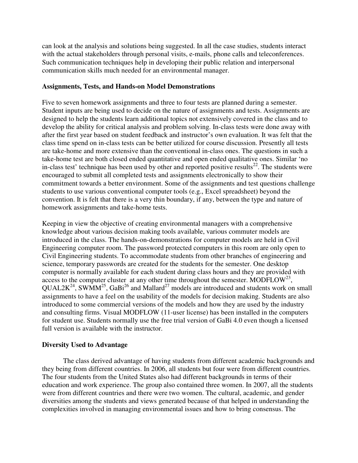can look at the analysis and solutions being suggested. In all the case studies, students interact with the actual stakeholders through personal visits, e-mails, phone calls and teleconferences. Such communication techniques help in developing their public relation and interpersonal communication skills much needed for an environmental manager.

#### **Assignments, Tests, and Hands-on Model Demonstrations**

Five to seven homework assignments and three to four tests are planned during a semester. Student inputs are being used to decide on the nature of assignments and tests. Assignments are designed to help the students learn additional topics not extensively covered in the class and to develop the ability for critical analysis and problem solving. In-class tests were done away with after the first year based on student feedback and instructor's own evaluation. It was felt that the class time spend on in-class tests can be better utilized for course discussion. Presently all tests are take-home and more extensive than the conventional in-class ones. The questions in such a take-home test are both closed ended quantitative and open ended qualitative ones. Similar 'no in-class test' technique has been used by other and reported positive results<sup>22</sup>. The students were encouraged to submit all completed tests and assignments electronically to show their commitment towards a better environment. Some of the assignments and test questions challenge students to use various conventional computer tools (e.g., Excel spreadsheet) beyond the convention. It is felt that there is a very thin boundary, if any, between the type and nature of homework assignments and take-home tests.

Keeping in view the objective of creating environmental managers with a comprehensive knowledge about various decision making tools available, various commuter models are introduced in the class. The hands-on-demonstrations for computer models are held in Civil Engineering computer room. The password protected computers in this room are only open to Civil Engineering students. To accommodate students from other branches of engineering and science, temporary passwords are created for the students for the semester. One desktop computer is normally available for each student during class hours and they are provided with access to the computer cluster at any other time throughout the semester. MODFLOW<sup>23</sup>,  $\overline{\text{OUAL2K}^{24}}$ , SWMM<sup>25</sup>, GaBi<sup>26</sup> and Mallard<sup>27</sup> models are introduced and students work on small assignments to have a feel on the usability of the models for decision making. Students are also introduced to some commercial versions of the models and how they are used by the industry and consulting firms. Visual MODFLOW (11-user license) has been installed in the computers for student use. Students normally use the free trial version of GaBi 4.0 even though a licensed full version is available with the instructor.

## **Diversity Used to Advantage**

The class derived advantage of having students from different academic backgrounds and they being from different countries. In 2006, all students but four were from different countries. The four students from the United States also had different backgrounds in terms of their education and work experience. The group also contained three women. In 2007, all the students were from different countries and there were two women. The cultural, academic, and gender diversities among the students and views generated because of that helped in understanding the complexities involved in managing environmental issues and how to bring consensus. The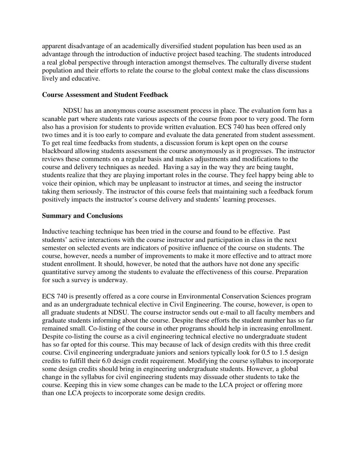apparent disadvantage of an academically diversified student population has been used as an advantage through the introduction of inductive project based teaching. The students introduced a real global perspective through interaction amongst themselves. The culturally diverse student population and their efforts to relate the course to the global context make the class discussions lively and educative.

#### **Course Assessment and Student Feedback**

NDSU has an anonymous course assessment process in place. The evaluation form has a scanable part where students rate various aspects of the course from poor to very good. The form also has a provision for students to provide written evaluation. ECS 740 has been offered only two times and it is too early to compare and evaluate the data generated from student assessment. To get real time feedbacks from students, a discussion forum is kept open on the course blackboard allowing students assessment the course anonymously as it progresses. The instructor reviews these comments on a regular basis and makes adjustments and modifications to the course and delivery techniques as needed. Having a say in the way they are being taught, students realize that they are playing important roles in the course. They feel happy being able to voice their opinion, which may be unpleasant to instructor at times, and seeing the instructor taking them seriously. The instructor of this course feels that maintaining such a feedback forum positively impacts the instructor's course delivery and students' learning processes.

#### **Summary and Conclusions**

Inductive teaching technique has been tried in the course and found to be effective. Past students' active interactions with the course instructor and participation in class in the next semester on selected events are indicators of positive influence of the course on students. The course, however, needs a number of improvements to make it more effective and to attract more student enrollment. It should, however, be noted that the authors have not done any specific quantitative survey among the students to evaluate the effectiveness of this course. Preparation for such a survey is underway.

ECS 740 is presently offered as a core course in Environmental Conservation Sciences program and as an undergraduate technical elective in Civil Engineering. The course, however, is open to all graduate students at NDSU. The course instructor sends out e-mail to all faculty members and graduate students informing about the course. Despite these efforts the student number has so far remained small. Co-listing of the course in other programs should help in increasing enrollment. Despite co-listing the course as a civil engineering technical elective no undergraduate student has so far opted for this course. This may because of lack of design credits with this three credit course. Civil engineering undergraduate juniors and seniors typically look for 0.5 to 1.5 design credits to fulfill their 6.0 design credit requirement. Modifying the course syllabus to incorporate some design credits should bring in engineering undergraduate students. However, a global change in the syllabus for civil engineering students may dissuade other students to take the course. Keeping this in view some changes can be made to the LCA project or offering more than one LCA projects to incorporate some design credits.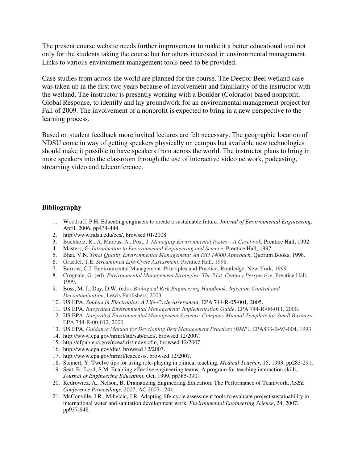The present course website needs further improvement to make it a better educational tool not only for the students taking the course but for others interested in environmental management. Links to various environment management tools need to be provided.

Case studies from across the world are planned for the course. The Deepor Beel wetland case was taken up in the first two years because of involvement and familiarity of the instructor with the wetland. The instructor is presently working with a Boulder (Colorado) based nonprofit, Global Response, to identify and lay groundwork for an environmental management project for Fall of 2009. The involvement of a nonprofit is expected to bring in a new perspective to the learning process.

Based on student feedback more invited lectures are felt necessary. The geographic location of NDSU come in way of getting speakers physically on campus but available new technologies should make it possible to have speakers from across the world. The instructor plans to bring in more speakers into the classroom through the use of interactive video network, podcasting, streaming video and teleconference.

#### **Bibliography**

- 1. Woodruff, P.H. Educating engineers to create a sustainable future, *Journal of Environmental Engineering*, April, 2006, pp434-444.
- 2. [http://www.ndsu.edu/ecs/,](http://www.ndsu.edu/ecs/) browsed 01/2008.
- 3. Buchholz, R., A. Marcus, A., Post, J. *Managing Environmental Issues A Casebook*, Prentice Hall, 1992.
- 4. Masters, G. *Introduction to Environmental Engineering and Science*, Prentice Hall, 1997.
- 5. Bhat, V.N. *Total Quality Environmental Management: An ISO 14000 Approach*, Quorum Books, 1998.
- 6. Graedel, T.E. *Streamlined Life-Cycle Assessment*, Prentice Hall, 1998.
- 7. Barrow, C.J. Environmental Management: Principles and Practice, Routledge, New York, 1999.
- 8. Crognale, G. (ed). *Environmental Management Strategies: The 21st Century Perspective*, Prentice Hall, 1999.
- 9. Boss, M. J., Day, D.W. (eds). *Biological Risk Engineering Handbook: Infection Control and Decontamination*, Lewis Publishers, 2003.
- 10. US EPA. *Solders in Electronics: A Life-Cycle Assessment*, EPA 744-R-05-001, 2005.
- 11. US EPA. *Integrated Environmental Management: Implementation Guide*, EPA 744-R-00-011, 2000.
- 12. US EPA. *Integrated Environmental Management Systems: Company Manual Template for Small Business*, EPA 744-R-00-012, 2000.
- 13. US EPA. *Guidance Manual for Developing Best Management Practices (BMP)*, EPA833-B-93-004, 1993.
- 14. [http://www.epa.gov/nrmrl/std/sab/traci/,](http://www.epa.gov/nrmrl/std/sab/traci/) browsed 12/2007.
- 15. <http://cfpub.epa.gov/ncea/iris/index.cfm>, browsed 12/2007.
- 16. [http://www.epa.gov/dfe/,](http://www.epa.gov/dfe/) browsed 12/2007.
- 17. [http://www.epa.gov/nrmrl/lcaccess/,](http://www.epa.gov/nrmrl/lcaccess/) browsed 12/2007.
- 18. Steinert, Y. Twelve tips for using role-playing in clinical teaching, *Medical Teacher*, 15, 1993, pp283-291.
- 19. Seat, E., Lord, S.M. Enabling effective engineering teams: A program for teaching interaction skills, *Journal of Engineering Education*, Oct, 1999, pp385-390.
- 20. Kedrowicz, A., Nelson, B. Dramatizing Engineering Education: The Performance of Teamwork, *ASEE Conference Proceedings*, 2007, AC 2007-1241.
- 21. McConville, J.R., Mihelcic, J.R. Adapting life-cycle assessment tools to evaluate project sustainability in international water and sanitation development work, *Environmental Engineering Science*, 24, 2007, pp937-948.